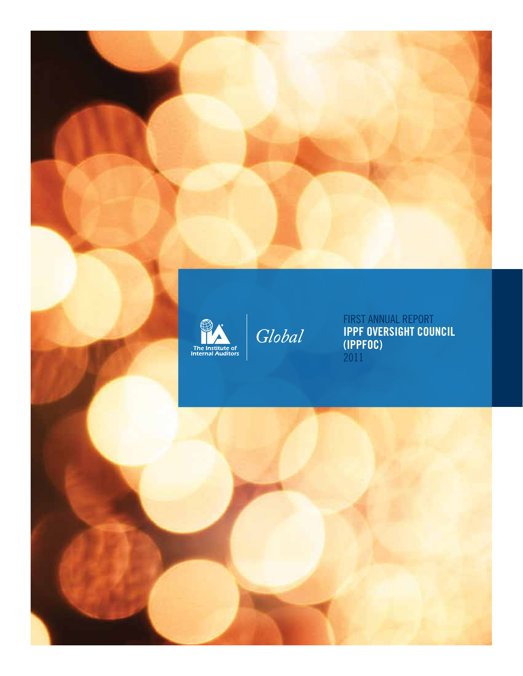

Global

First Annual Report **IPPF Oversight Council (IPPFOC)** 2011

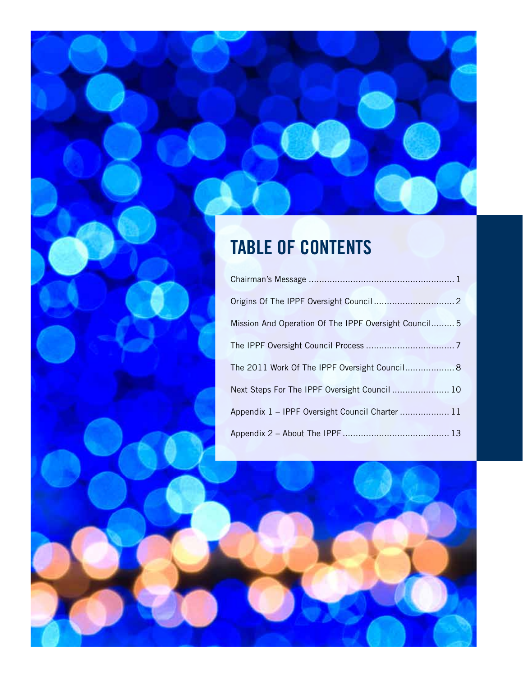## **Table of contents**

| Mission And Operation Of The IPPF Oversight Council 5 |  |
|-------------------------------------------------------|--|
|                                                       |  |
| The 2011 Work Of The IPPF Oversight Council 8         |  |
| Next Steps For The IPPF Oversight Council  10         |  |
| Appendix 1 - IPPF Oversight Council Charter  11       |  |
|                                                       |  |

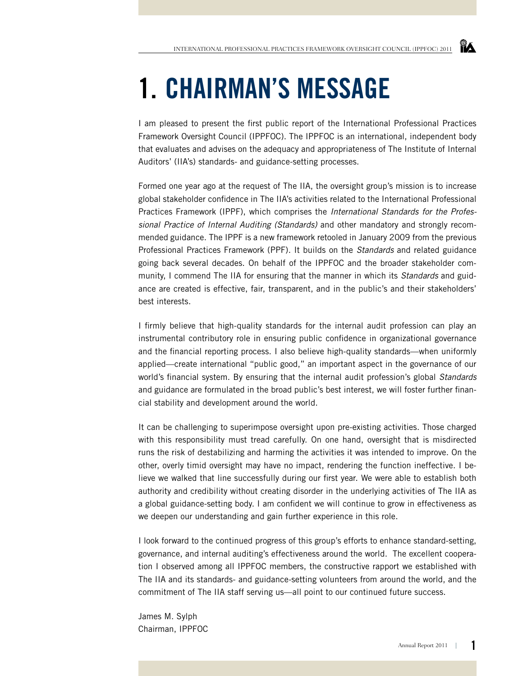# **1. CHAIRMAN'S MESSAGE**

I am pleased to present the first public report of the International Professional Practices Framework Oversight Council (IPPFOC). The IPPFOC is an international, independent body that evaluates and advises on the adequacy and appropriateness of The Institute of Internal Auditors' (IIA's) standards- and guidance-setting processes.

Formed one year ago at the request of The IIA, the oversight group's mission is to increase global stakeholder confidence in The IIA's activities related to the International Professional Practices Framework (IPPF), which comprises the *International Standards for the Professional Practice of Internal Auditing (Standards)* and other mandatory and strongly recommended guidance. The IPPF is a new framework retooled in January 2009 from the previous Professional Practices Framework (PPF). It builds on the *Standards* and related guidance going back several decades. On behalf of the IPPFOC and the broader stakeholder community, I commend The IIA for ensuring that the manner in which its *Standards* and guidance are created is effective, fair, transparent, and in the public's and their stakeholders' best interests.

I firmly believe that high-quality standards for the internal audit profession can play an instrumental contributory role in ensuring public confidence in organizational governance and the financial reporting process. I also believe high-quality standards—when uniformly applied—create international "public good," an important aspect in the governance of our world's financial system. By ensuring that the internal audit profession's global *Standards*  and guidance are formulated in the broad public's best interest, we will foster further financial stability and development around the world.

It can be challenging to superimpose oversight upon pre-existing activities. Those charged with this responsibility must tread carefully. On one hand, oversight that is misdirected runs the risk of destabilizing and harming the activities it was intended to improve. On the other, overly timid oversight may have no impact, rendering the function ineffective. I believe we walked that line successfully during our first year. We were able to establish both authority and credibility without creating disorder in the underlying activities of The IIA as a global guidance-setting body. I am confident we will continue to grow in effectiveness as we deepen our understanding and gain further experience in this role.

I look forward to the continued progress of this group's efforts to enhance standard-setting, governance, and internal auditing's effectiveness around the world. The excellent cooperation I observed among all IPPFOC members, the constructive rapport we established with The IIA and its standards- and guidance-setting volunteers from around the world, and the commitment of The IIA staff serving us—all point to our continued future success.

James M. Sylph Chairman, IPPFOC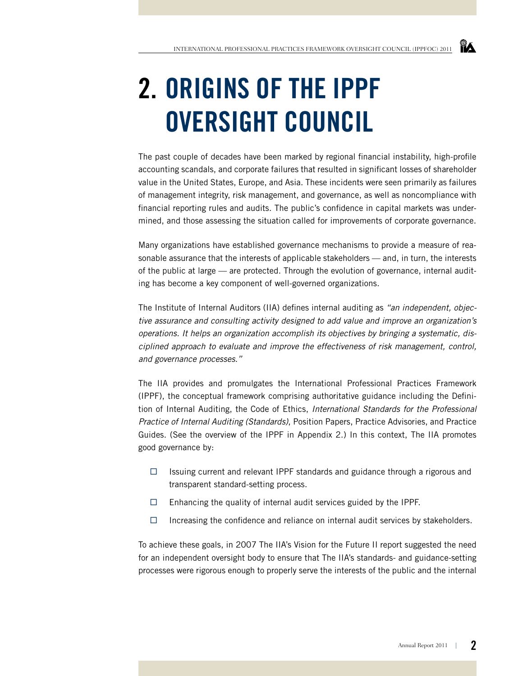# **2. ORIGINS OF THE IPPF OVERSIGHT COUNCIL**

The past couple of decades have been marked by regional financial instability, high-profile accounting scandals, and corporate failures that resulted in significant losses of shareholder value in the United States, Europe, and Asia. These incidents were seen primarily as failures of management integrity, risk management, and governance, as well as noncompliance with financial reporting rules and audits. The public's confidence in capital markets was undermined, and those assessing the situation called for improvements of corporate governance.

Many organizations have established governance mechanisms to provide a measure of reasonable assurance that the interests of applicable stakeholders — and, in turn, the interests of the public at large — are protected. Through the evolution of governance, internal auditing has become a key component of well-governed organizations.

The Institute of Internal Auditors (IIA) defines internal auditing as *"an independent, objective assurance and consulting activity designed to add value and improve an organization's operations. It helps an organization accomplish its objectives by bringing a systematic, disciplined approach to evaluate and improve the effectiveness of risk management, control, and governance processes."*

The IIA provides and promulgates the International Professional Practices Framework (IPPF), the conceptual framework comprising authoritative guidance including the Definition of Internal Auditing, the Code of Ethics, *International Standards for the Professional Practice of Internal Auditing (Standards)*, Position Papers, Practice Advisories, and Practice Guides. (See the overview of the IPPF in Appendix 2.) In this context, The IIA promotes good governance by:

- $\Box$  Issuing current and relevant IPPF standards and guidance through a rigorous and transparent standard-setting process.
- $\Box$  Enhancing the quality of internal audit services guided by the IPPF.
- $\Box$  Increasing the confidence and reliance on internal audit services by stakeholders.

To achieve these goals, in 2007 The IIA's Vision for the Future II report suggested the need for an independent oversight body to ensure that The IIA's standards- and guidance-setting processes were rigorous enough to properly serve the interests of the public and the internal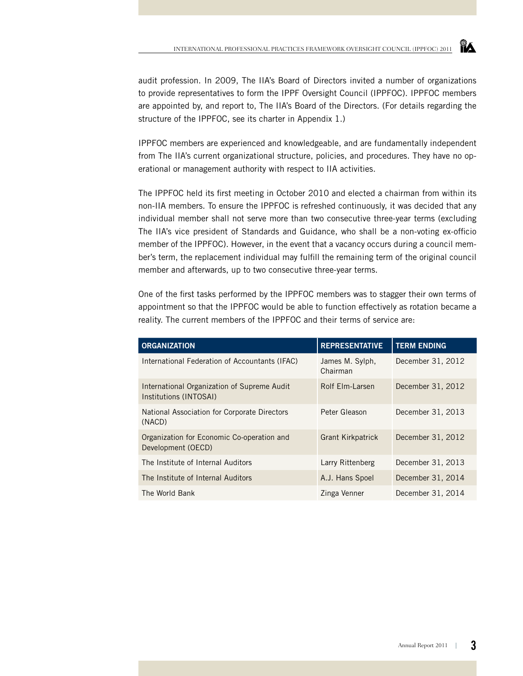audit profession. In 2009, The IIA's Board of Directors invited a number of organizations to provide representatives to form the IPPF Oversight Council (IPPFOC). IPPFOC members are appointed by, and report to, The IIA's Board of the Directors. (For details regarding the structure of the IPPFOC, see its charter in Appendix 1.)

IPPFOC members are experienced and knowledgeable, and are fundamentally independent from The IIA's current organizational structure, policies, and procedures. They have no operational or management authority with respect to IIA activities.

The IPPFOC held its first meeting in October 2010 and elected a chairman from within its non-IIA members. To ensure the IPPFOC is refreshed continuously, it was decided that any individual member shall not serve more than two consecutive three-year terms (excluding The IIA's vice president of Standards and Guidance, who shall be a non-voting ex-officio member of the IPPFOC). However, in the event that a vacancy occurs during a council member's term, the replacement individual may fulfill the remaining term of the original council member and afterwards, up to two consecutive three-year terms.

One of the first tasks performed by the IPPFOC members was to stagger their own terms of appointment so that the IPPFOC would be able to function effectively as rotation became a reality. The current members of the IPPFOC and their terms of service are:

| <b>ORGANIZATION</b>                                                   | <b>REPRESENTATIVE</b>       | <b>TERM ENDING</b> |
|-----------------------------------------------------------------------|-----------------------------|--------------------|
| International Federation of Accountants (IFAC)                        | James M. Sylph,<br>Chairman | December 31, 2012  |
| International Organization of Supreme Audit<br>Institutions (INTOSAI) | Rolf Elm-Larsen             | December 31, 2012  |
| National Association for Corporate Directors<br>(NACD)                | Peter Gleason               | December 31, 2013  |
| Organization for Economic Co-operation and<br>Development (OECD)      | <b>Grant Kirkpatrick</b>    | December 31, 2012  |
| The Institute of Internal Auditors                                    | Larry Rittenberg            | December 31, 2013  |
| The Institute of Internal Auditors                                    | A.J. Hans Spoel             | December 31, 2014  |
| The World Bank                                                        | Zinga Venner                | December 31, 2014  |

ÏА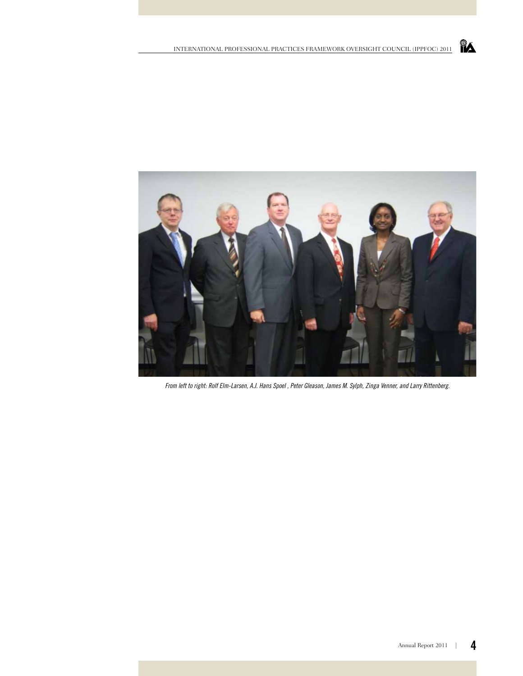

*From left to right: Rolf Elm-Larsen, A.J. Hans Spoel , Peter Gleason, James M. Sylph, Zinga Venner, and Larry Rittenberg.*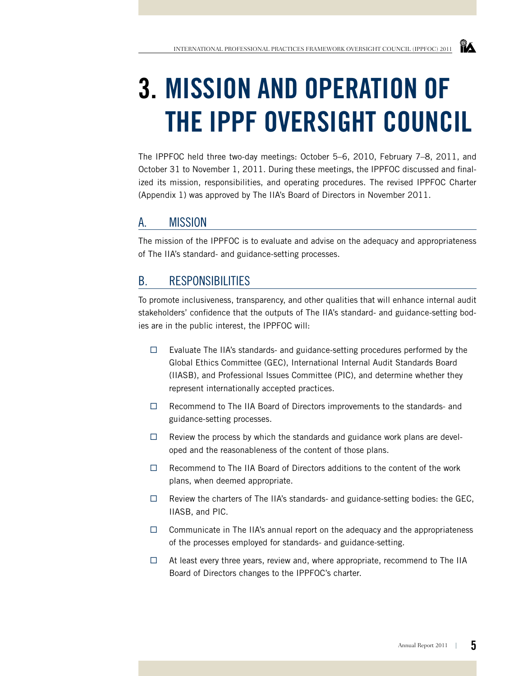## **3. MISSION AND OPERATION OF THE IPPF OVERSIGHT COUNCIL**

The IPPFOC held three two-day meetings: October 5–6, 2010, February 7–8, 2011, and October 31 to November 1, 2011. During these meetings, the IPPFOC discussed and finalized its mission, responsibilities, and operating procedures. The revised IPPFOC Charter (Appendix 1) was approved by The IIA's Board of Directors in November 2011.

### a. Mission

The mission of the IPPFOC is to evaluate and advise on the adequacy and appropriateness of The IIA's standard- and guidance-setting processes.

### b. Responsibilities

To promote inclusiveness, transparency, and other qualities that will enhance internal audit stakeholders' confidence that the outputs of The IIA's standard- and guidance-setting bodies are in the public interest, the IPPFOC will:

- $\Box$  Evaluate The IIA's standards- and guidance-setting procedures performed by the Global Ethics Committee (GEC), International Internal Audit Standards Board (IIASB), and Professional Issues Committee (PIC), and determine whether they represent internationally accepted practices.
- $\Box$  Recommend to The IIA Board of Directors improvements to the standards- and guidance-setting processes.
- $\Box$  Review the process by which the standards and guidance work plans are developed and the reasonableness of the content of those plans.
- $\Box$  Recommend to The IIA Board of Directors additions to the content of the work plans, when deemed appropriate.
- $\Box$  Review the charters of The IIA's standards- and guidance-setting bodies: the GEC, IIASB, and PIC.
- $\Box$  Communicate in The IIA's annual report on the adequacy and the appropriateness of the processes employed for standards- and guidance-setting.
- $\Box$  At least every three years, review and, where appropriate, recommend to The IIA Board of Directors changes to the IPPFOC's charter.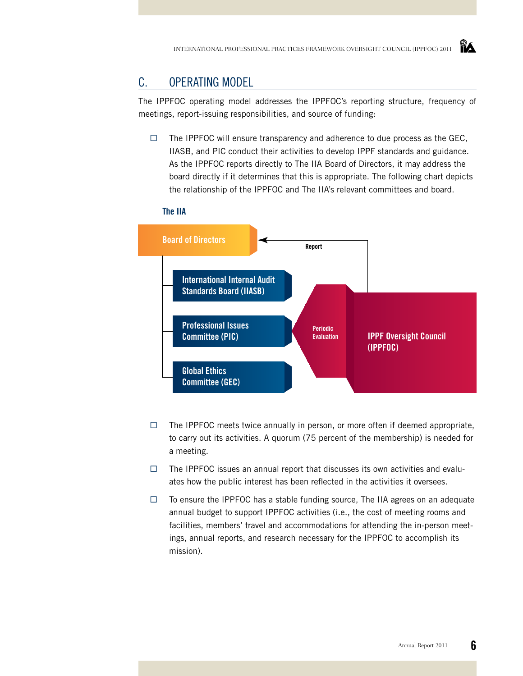### c. Operating Model

The IPPFOC operating model addresses the IPPFOC's reporting structure, frequency of meetings, report-issuing responsibilities, and source of funding:

 $\Box$  The IPPFOC will ensure transparency and adherence to due process as the GEC, IIASB, and PIC conduct their activities to develop IPPF standards and guidance. As the IPPFOC reports directly to The IIA Board of Directors, it may address the board directly if it determines that this is appropriate. The following chart depicts the relationship of the IPPFOC and The IIA's relevant committees and board.

#### **The IIA**



- $\Box$  The IPPFOC meets twice annually in person, or more often if deemed appropriate, to carry out its activities. A quorum (75 percent of the membership) is needed for a meeting.
- $\Box$  The IPPFOC issues an annual report that discusses its own activities and evaluates how the public interest has been reflected in the activities it oversees.
- $\Box$  To ensure the IPPFOC has a stable funding source, The IIA agrees on an adequate annual budget to support IPPFOC activities (i.e., the cost of meeting rooms and facilities, members' travel and accommodations for attending the in-person meetings, annual reports, and research necessary for the IPPFOC to accomplish its mission).



**YA**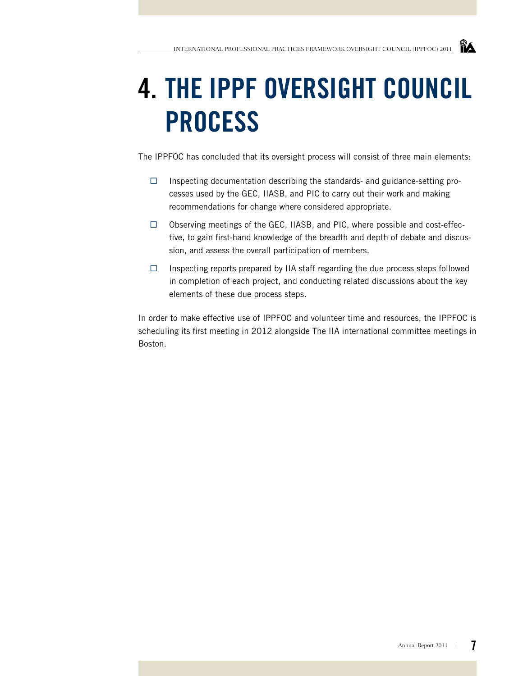## **4. THE IPPF OVERSIGHT COUNCIL PROCESS**

The IPPFOC has concluded that its oversight process will consist of three main elements:

- $\Box$  Inspecting documentation describing the standards- and guidance-setting processes used by the GEC, IIASB, and PIC to carry out their work and making recommendations for change where considered appropriate.
- $\Box$  Observing meetings of the GEC, IIASB, and PIC, where possible and cost-effective, to gain first-hand knowledge of the breadth and depth of debate and discussion, and assess the overall participation of members.
- $\Box$  Inspecting reports prepared by IIA staff regarding the due process steps followed in completion of each project, and conducting related discussions about the key elements of these due process steps.

In order to make effective use of IPPFOC and volunteer time and resources, the IPPFOC is scheduling its first meeting in 2012 alongside The IIA international committee meetings in Boston.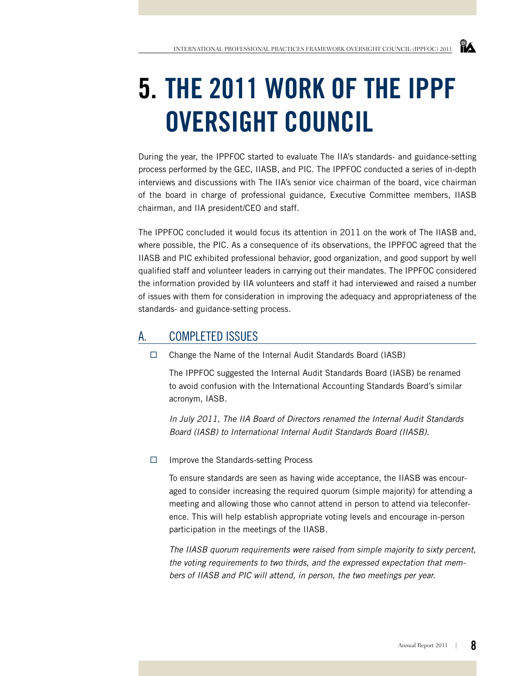## **5. THE 2011 WORK OF THE IPPF OVERSIGHT COUNCIL**

During the year, the IPPFOC started to evaluate The IIA's standards- and guidance-setting process performed by the GEC, IIASB, and PIC. The IPPFOC conducted a series of in-depth interviews and discussions with The IIA's senior vice chairman of the board, vice chairman of the board in charge of professional guidance, Executive Committee members, IIASB chairman, and IIA president/CEO and staff.

The IPPFOC concluded it would focus its attention in 2011 on the work of The IIASB and, where possible, the PIC. As a consequence of its observations, the IPPFOC agreed that the IIASB and PIC exhibited professional behavior, good organization, and good support by well qualified staff and volunteer leaders in carrying out their mandates. The IPPFOC considered the information provided by IIA volunteers and staff it had interviewed and raised a number of issues with them for consideration in improving the adequacy and appropriateness of the standards- and guidance-setting process.

### a. Completed Issues

 $\Box$  Change the Name of the Internal Audit Standards Board (IASB)

The IPPFOC suggested the Internal Audit Standards Board (IASB) be renamed to avoid confusion with the International Accounting Standards Board's similar acronym, IASB.

*In July 2011, The IIA Board of Directors renamed the Internal Audit Standards Board (IASB) to International Internal Audit Standards Board (IIASB).*

 $\Box$  Improve the Standards-setting Process

To ensure standards are seen as having wide acceptance, the IIASB was encouraged to consider increasing the required quorum (simple majority) for attending a meeting and allowing those who cannot attend in person to attend via teleconference. This will help establish appropriate voting levels and encourage in-person participation in the meetings of the IIASB.

*The IIASB quorum requirements were raised from simple majority to sixty percent, the voting requirements to two thirds, and the expressed expectation that members of IIASB and PIC will attend, in person, the two meetings per year.*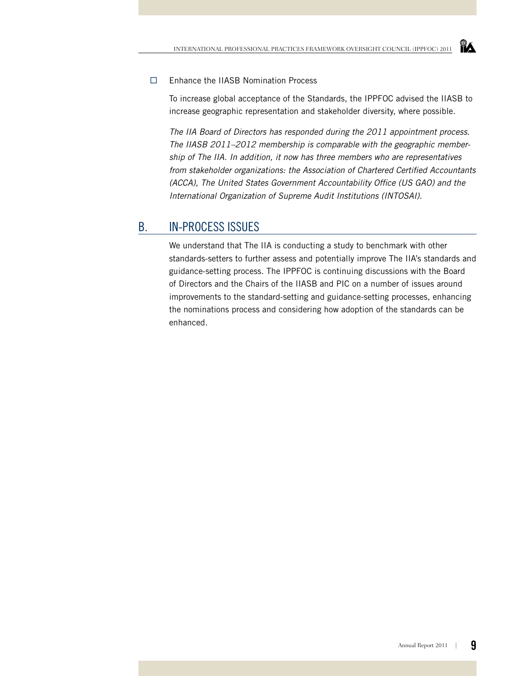#### Enhance the IIASB Nomination Process

To increase global acceptance of the Standards, the IPPFOC advised the IIASB to increase geographic representation and stakeholder diversity, where possible.

*The IIA Board of Directors has responded during the 2011 appointment process. The IIASB 2011–2012 membership is comparable with the geographic membership of The IIA. In addition, it now has three members who are representatives from stakeholder organizations: the Association of Chartered Certified Accountants (ACCA), The United States Government Accountability Office (US GAO) and the International Organization of Supreme Audit Institutions (INTOSAI).* 

### b. In-process Issues

We understand that The IIA is conducting a study to benchmark with other standards-setters to further assess and potentially improve The IIA's standards and guidance-setting process. The IPPFOC is continuing discussions with the Board of Directors and the Chairs of the IIASB and PIC on a number of issues around improvements to the standard-setting and guidance-setting processes, enhancing the nominations process and considering how adoption of the standards can be enhanced.

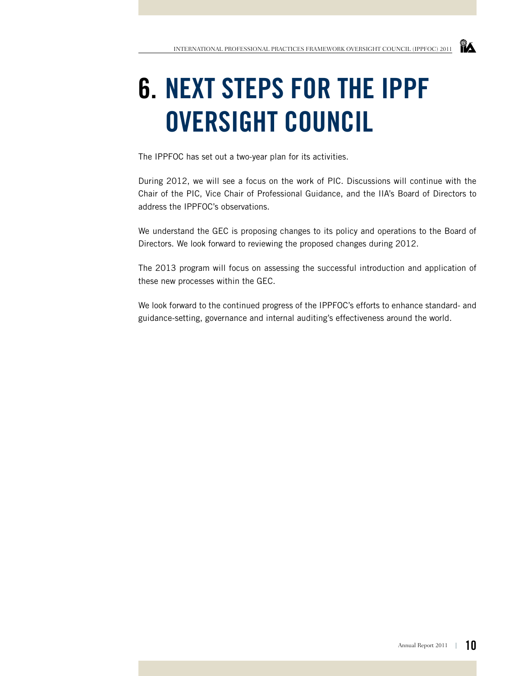## **NA**

## **6. NEXT STEPS for the IPPF OVERSIGHT COUNCIL**

The IPPFOC has set out a two-year plan for its activities.

During 2012, we will see a focus on the work of PIC. Discussions will continue with the Chair of the PIC, Vice Chair of Professional Guidance, and the IIA's Board of Directors to address the IPPFOC's observations.

We understand the GEC is proposing changes to its policy and operations to the Board of Directors. We look forward to reviewing the proposed changes during 2012.

The 2013 program will focus on assessing the successful introduction and application of these new processes within the GEC.

We look forward to the continued progress of the IPPFOC's efforts to enhance standard- and guidance-setting, governance and internal auditing's effectiveness around the world.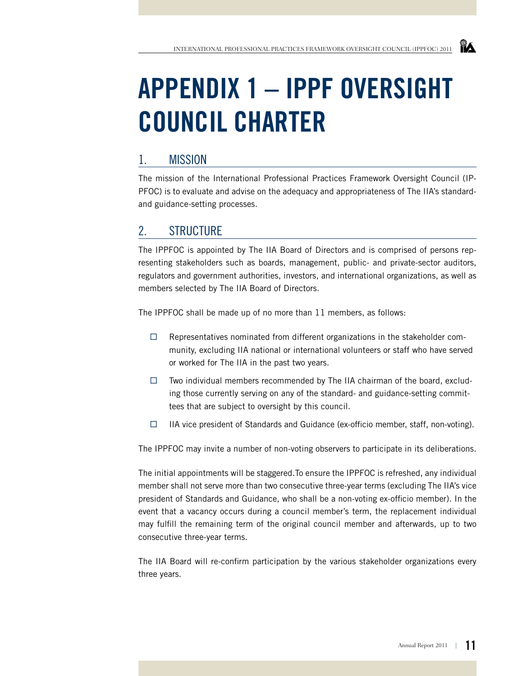# **APPENDIX 1 – IPPF OVERSIGHT COUNCIL CHARTER**

### 1. Mission

The mission of the International Professional Practices Framework Oversight Council (IP-PFOC) is to evaluate and advise on the adequacy and appropriateness of The IIA's standardand guidance-setting processes.

## 2. Structure

The IPPFOC is appointed by The IIA Board of Directors and is comprised of persons representing stakeholders such as boards, management, public- and private-sector auditors, regulators and government authorities, investors, and international organizations, as well as members selected by The IIA Board of Directors.

The IPPFOC shall be made up of no more than 11 members, as follows:

- $\Box$  Representatives nominated from different organizations in the stakeholder community, excluding IIA national or international volunteers or staff who have served or worked for The IIA in the past two years.
- $\Box$  Two individual members recommended by The IIA chairman of the board, excluding those currently serving on any of the standard- and guidance-setting committees that are subject to oversight by this council.
- $\Box$  IIA vice president of Standards and Guidance (ex-officio member, staff, non-voting).

The IPPFOC may invite a number of non-voting observers to participate in its deliberations.

The initial appointments will be staggered.To ensure the IPPFOC is refreshed, any individual member shall not serve more than two consecutive three-year terms (excluding The IIA's vice president of Standards and Guidance, who shall be a non-voting ex-officio member). In the event that a vacancy occurs during a council member's term, the replacement individual may fulfill the remaining term of the original council member and afterwards, up to two consecutive three-year terms.

The IIA Board will re-confirm participation by the various stakeholder organizations every three years.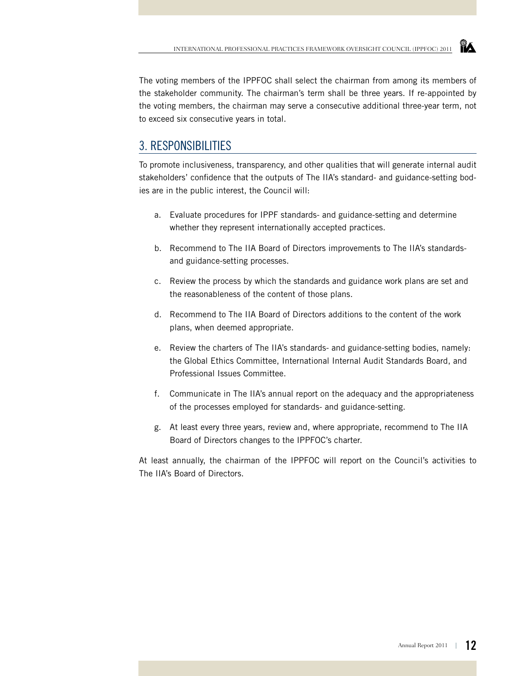The voting members of the IPPFOC shall select the chairman from among its members of the stakeholder community. The chairman's term shall be three years. If re-appointed by the voting members, the chairman may serve a consecutive additional three-year term, not to exceed six consecutive years in total.

### 3. Responsibilities

To promote inclusiveness, transparency, and other qualities that will generate internal audit stakeholders' confidence that the outputs of The IIA's standard- and guidance-setting bodies are in the public interest, the Council will:

- a. Evaluate procedures for IPPF standards- and guidance-setting and determine whether they represent internationally accepted practices.
- b. Recommend to The IIA Board of Directors improvements to The IIA's standardsand guidance-setting processes.
- c. Review the process by which the standards and guidance work plans are set and the reasonableness of the content of those plans.
- d. Recommend to The IIA Board of Directors additions to the content of the work plans, when deemed appropriate.
- e. Review the charters of The IIA's standards- and guidance-setting bodies, namely: the Global Ethics Committee, International Internal Audit Standards Board, and Professional Issues Committee.
- f. Communicate in The IIA's annual report on the adequacy and the appropriateness of the processes employed for standards- and guidance-setting.
- g. At least every three years, review and, where appropriate, recommend to The IIA Board of Directors changes to the IPPFOC's charter.

At least annually, the chairman of the IPPFOC will report on the Council's activities to The IIA's Board of Directors.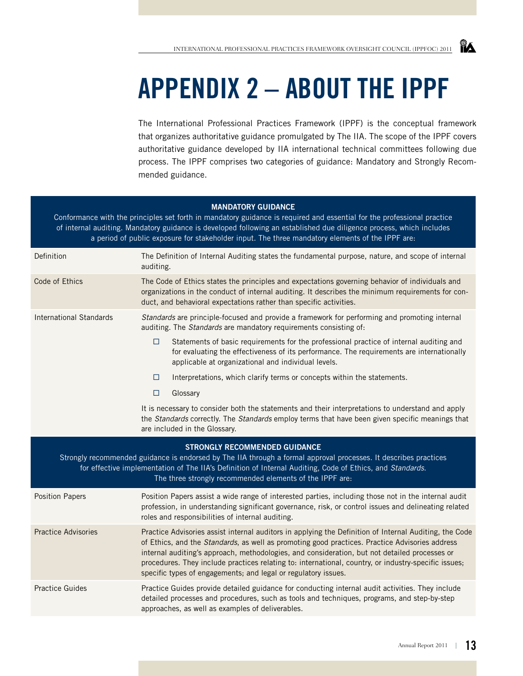## **APPENDIX 2 – ABOUT THE IPPF**

The International Professional Practices Framework (IPPF) is the conceptual framework that organizes authoritative guidance promulgated by The IIA. The scope of the IPPF covers authoritative guidance developed by IIA international technical committees following due process. The IPPF comprises two categories of guidance: Mandatory and Strongly Recommended guidance.

### **Mandatory Guidance** Conformance with the principles set forth in mandatory guidance is required and essential for the professional practice of internal auditing. Mandatory guidance is developed following an established due diligence process, which includes a period of public exposure for stakeholder input. The three mandatory elements of the IPPF are: Definition The Definition of Internal Auditing states the fundamental purpose, nature, and scope of internal auditing. Code of Ethics The Code of Ethics states the principles and expectations governing behavior of individuals and organizations in the conduct of internal auditing. It describes the minimum requirements for conduct, and behavioral expectations rather than specific activities. International Standards *Standards* are principle-focused and provide a framework for performing and promoting internal auditing. The *Standards* are mandatory requirements consisting of:  $\Box$  Statements of basic requirements for the professional practice of internal auditing and for evaluating the effectiveness of its performance. The requirements are internationally applicable at organizational and individual levels.  $\Box$  Interpretations, which clarify terms or concepts within the statements. □ Glossary It is necessary to consider both the statements and their interpretations to understand and apply the *Standards* correctly. The *Standards* employ terms that have been given specific meanings that are included in the Glossary. **Strongly Recommended Guidance** Strongly recommended guidance is endorsed by The IIA through a formal approval processes. It describes practices for effective implementation of The IIA's Definition of Internal Auditing, Code of Ethics, and *Standards*. The three strongly recommended elements of the IPPF are: Position Papers Position Papers assist a wide range of interested parties, including those not in the internal audit profession, in understanding significant governance, risk, or control issues and delineating related roles and responsibilities of internal auditing. Practice Advisories Practice Advisories assist internal auditors in applying the Definition of Internal Auditing, the Code of Ethics, and the *Standards*, as well as promoting good practices. Practice Advisories address internal auditing's approach, methodologies, and consideration, but not detailed processes or procedures. They include practices relating to: international, country, or industry-specific issues; specific types of engagements; and legal or regulatory issues. Practice Guides Practice Guides provide detailed guidance for conducting internal audit activities. They include detailed processes and procedures, such as tools and techniques, programs, and step-by-step approaches, as well as examples of deliverables.